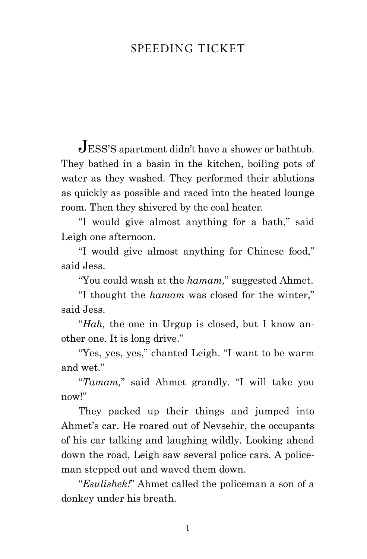## speeding ticket

Jess's apartment didn't have a shower or bathtub. They bathed in a basin in the kitchen, boiling pots of water as they washed. They performed their ablutions as quickly as possible and raced into the heated lounge room. Then they shivered by the coal heater.

"I would give almost anything for a bath," said Leigh one afternoon.

"I would give almost anything for Chinese food," said Jess.

"You could wash at the *hamam,*" suggested Ahmet.

"I thought the *hamam* was closed for the winter," said Jess.

"*Hah,* the one in Urgup is closed, but I know another one. It is long drive."

"Yes, yes, yes," chanted Leigh. "I want to be warm and wet."

"*Tamam,*" said Ahmet grandly. "I will take you now!"

They packed up their things and jumped into Ahmet's car. He roared out of Nevsehir, the occupants of his car talking and laughing wildly. Looking ahead down the road, Leigh saw several police cars. A policeman stepped out and waved them down.

"*Esulishek!*" Ahmet called the policeman a son of a donkey under his breath.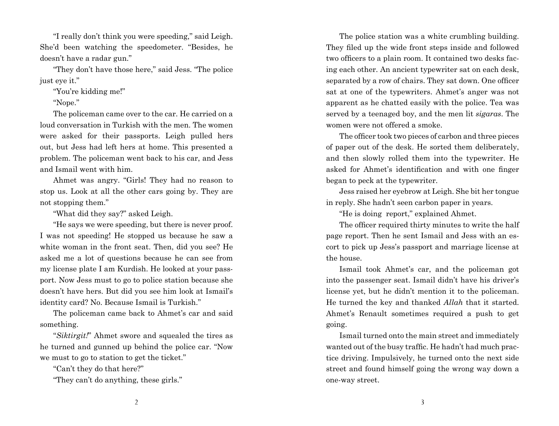"I really don't think you were speeding," said Leigh. She'd been watching the speedometer. "Besides, he doesn't have a radar gun."

"They don't have those here," said Jess. "The police just eye it."

"You're kidding me!"

"Nope."

The policeman came over to the car. He carried on a loud conversation in Turkish with the men. The women were asked for their passports. Leigh pulled hers out, but Jess had left hers at home. This presented a problem. The policeman went back to his car, and Jess and Ismail went with him.

Ahmet was angry. "Girls! They had no reason to stop us. Look at all the other cars going by. They are not stopping them."

"What did they say?" asked Leigh.

"He says we were speeding, but there is never proof. I was not speeding! He stopped us because he saw a white woman in the front seat. Then, did you see? He asked me a lot of questions because he can see from my license plate I am Kurdish. He looked at your passport. Now Jess must to go to police station because she doesn't have hers. But did you see him look at Ismail's identity card? No. Because Ismail is Turkish."

The policeman came back to Ahmet's car and said something.

"*Siktirgit!*" Ahmet swore and squealed the tires as he turned and gunned up behind the police car. "Now we must to go to station to get the ticket."

"Can't they do that here?"

"They can't do anything, these girls."

The police station was a white crumbling building. They filed up the wide front steps inside and followed two officers to a plain room. It contained two desks facing each other. An ancient typewriter sat on each desk, separated by a row of chairs. They sat down. One officer sat at one of the typewriters. Ahmet's anger was not apparent as he chatted easily with the police. Tea was served by a teenaged boy, and the men lit *sigaras*. The women were not offered a smoke.

The officer took two pieces of carbon and three pieces of paper out of the desk. He sorted them deliberately, and then slowly rolled them into the typewriter. He asked for Ahmet's identification and with one finger began to peck at the typewriter.

Jess raised her eyebrow at Leigh. She bit her tongue in reply. She hadn't seen carbon paper in years.

"He is doing report," explained Ahmet.

The officer required thirty minutes to write the half page report. Then he sent Ismail and Jess with an escort to pick up Jess's passport and marriage license at the house.

Ismail took Ahmet's car, and the policeman got into the passenger seat. Ismail didn't have his driver's license yet, but he didn't mention it to the policeman. He turned the key and thanked *Allah* that it started. Ahmet's Renault sometimes required a push to get going.

Ismail turned onto the main street and immediately wanted out of the busy traffic. He hadn't had much practice driving. Impulsively, he turned onto the next side street and found himself going the wrong way down a one-way street.